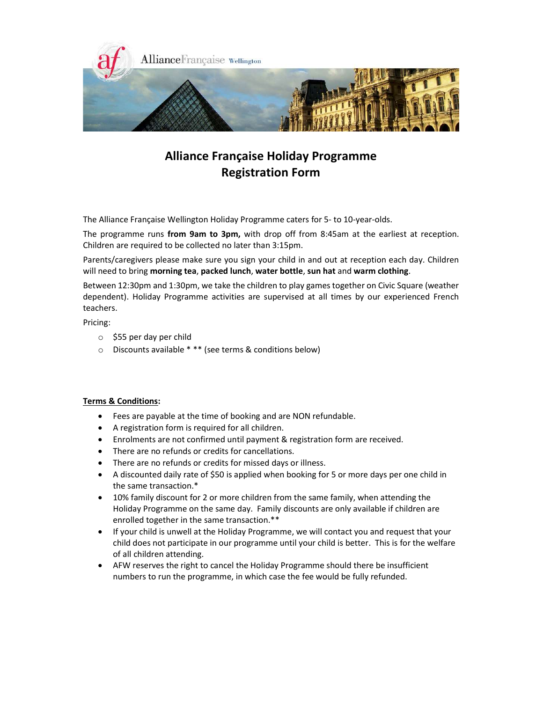

# Alliance Française Holiday Programme Registration Form

The Alliance Française Wellington Holiday Programme caters for 5- to 10-year-olds.

The programme runs from 9am to 3pm, with drop off from 8:45am at the earliest at reception. Children are required to be collected no later than 3:15pm.

Parents/caregivers please make sure you sign your child in and out at reception each day. Children will need to bring morning tea, packed lunch, water bottle, sun hat and warm clothing.

Between 12:30pm and 1:30pm, we take the children to play games together on Civic Square (weather dependent). Holiday Programme activities are supervised at all times by our experienced French teachers.

Pricing:

- o \$55 per day per child
- o Discounts available \* \*\* (see terms & conditions below)

# Terms & Conditions:

- Fees are payable at the time of booking and are NON refundable.
- A registration form is required for all children.
- Enrolments are not confirmed until payment & registration form are received.
- There are no refunds or credits for cancellations.
- There are no refunds or credits for missed days or illness.
- A discounted daily rate of \$50 is applied when booking for 5 or more days per one child in the same transaction.\*
- 10% family discount for 2 or more children from the same family, when attending the Holiday Programme on the same day. Family discounts are only available if children are enrolled together in the same transaction.\*\*
- If your child is unwell at the Holiday Programme, we will contact you and request that your child does not participate in our programme until your child is better. This is for the welfare of all children attending.
- AFW reserves the right to cancel the Holiday Programme should there be insufficient numbers to run the programme, in which case the fee would be fully refunded.